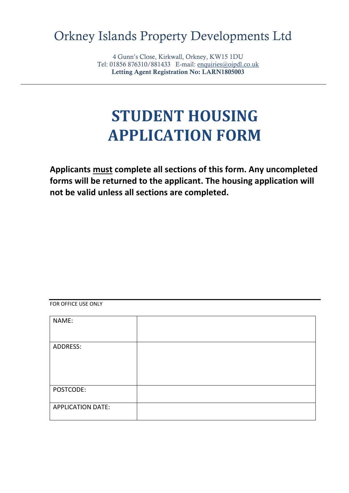# Orkney Islands Property Developments Ltd

4 Gunn's Close, Kirkwall, Orkney, KW15 1DU Tel: 01856 876310/881433 E-mail: [enquiries@oipdl.co.uk](mailto:enquiries@oipdl.co.uk) Letting Agent Registration No: LARN1805003

# **STUDENT HOUSING APPLICATION FORM**

**Applicants must complete all sections of this form. Any uncompleted forms will be returned to the applicant. The housing application will not be valid unless all sections are completed.**

#### FOR OFFICE USE ONLY

| NAME:                    |  |
|--------------------------|--|
|                          |  |
| ADDRESS:                 |  |
|                          |  |
|                          |  |
|                          |  |
| POSTCODE:                |  |
|                          |  |
| <b>APPLICATION DATE:</b> |  |
|                          |  |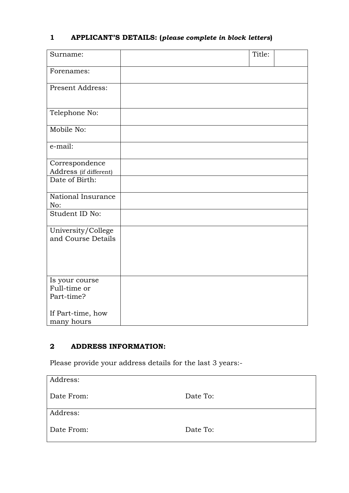# **1 APPLICANT'S DETAILS: (***please complete in block letters***)**

| Surname:                                     | Title: |  |
|----------------------------------------------|--------|--|
| Forenames:                                   |        |  |
| <b>Present Address:</b>                      |        |  |
| Telephone No:                                |        |  |
| Mobile No:                                   |        |  |
| e-mail:                                      |        |  |
| Correspondence<br>Address (if different)     |        |  |
| Date of Birth:                               |        |  |
| National Insurance<br>No:                    |        |  |
| Student ID No:                               |        |  |
| University/College<br>and Course Details     |        |  |
| Is your course<br>Full-time or<br>Part-time? |        |  |
| If Part-time, how<br>many hours              |        |  |

# **2 ADDRESS INFORMATION:**

Please provide your address details for the last 3 years:-

| Address:   |          |
|------------|----------|
| Date From: | Date To: |
| Address:   |          |
| Date From: | Date To: |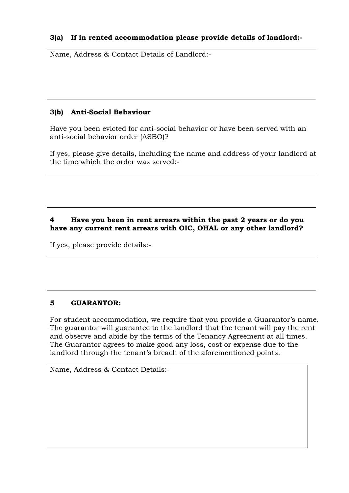#### **3(a) If in rented accommodation please provide details of landlord:-**

Name, Address & Contact Details of Landlord:-

#### **3(b) Anti-Social Behaviour**

Have you been evicted for anti-social behavior or have been served with an anti-social behavior order (ASBO)?

If yes, please give details, including the name and address of your landlord at the time which the order was served:-

#### **4 Have you been in rent arrears within the past 2 years or do you have any current rent arrears with OIC, OHAL or any other landlord?**

If yes, please provide details:-

#### **5 GUARANTOR:**

For student accommodation, we require that you provide a Guarantor's name. The guarantor will guarantee to the landlord that the tenant will pay the rent and observe and abide by the terms of the Tenancy Agreement at all times. The Guarantor agrees to make good any loss, cost or expense due to the landlord through the tenant's breach of the aforementioned points.

Name, Address & Contact Details:-